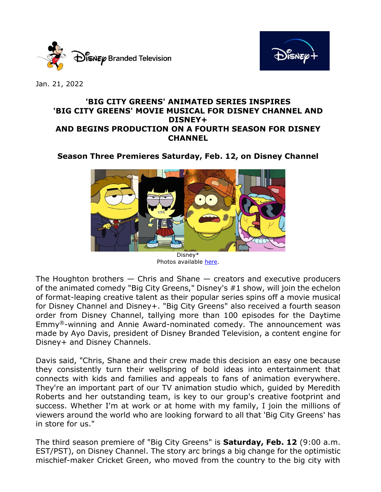



Jan. 21, 2022

## **'BIG CITY GREENS' ANIMATED SERIES INSPIRES 'BIG CITY GREENS' MOVIE MUSICAL FOR DISNEY CHANNEL AND DISNEY+ AND BEGINS PRODUCTION ON A FOURTH SEASON FOR DISNEY CHANNEL**

# **Season Three Premieres Saturday, Feb. 12, on Disney Channel**



Photos available [here.](https://www.dgepress.com/disneybrandedtelevision/shows/big-city-greens/photos/)

The Houghton brothers  $-$  Chris and Shane  $-$  creators and executive producers of the animated comedy "Big City Greens," Disney's #1 show, will join the echelon of format-leaping creative talent as their popular series spins off a movie musical for Disney Channel and Disney+. "Big City Greens" also received a fourth season order from Disney Channel, tallying more than 100 episodes for the Daytime Emmy®-winning and Annie Award-nominated comedy. The announcement was made by Ayo Davis, president of Disney Branded Television, a content engine for Disney+ and Disney Channels.

Davis said, "Chris, Shane and their crew made this decision an easy one because they consistently turn their wellspring of bold ideas into entertainment that connects with kids and families and appeals to fans of animation everywhere. They're an important part of our TV animation studio which, guided by Meredith Roberts and her outstanding team, is key to our group's creative footprint and success. Whether I'm at work or at home with my family, I join the millions of viewers around the world who are looking forward to all that 'Big City Greens' has in store for us."

The third season premiere of "Big City Greens" is **Saturday, Feb. 12** (9:00 a.m. EST/PST), on Disney Channel. The story arc brings a big change for the optimistic mischief-maker Cricket Green, who moved from the country to the big city with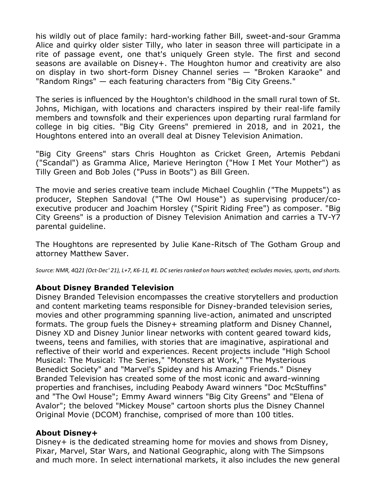his wildly out of place family: hard-working father Bill, sweet-and-sour Gramma Alice and quirky older sister Tilly, who later in season three will participate in a rite of passage event, one that's uniquely Green style. The first and second seasons are available on Disney+. The Houghton humor and creativity are also on display in two short-form Disney Channel series — "Broken Karaoke" and "Random Rings" — each featuring characters from "Big City Greens."

The series is influenced by the Houghton's childhood in the small rural town of St. Johns, Michigan, with locations and characters inspired by their real-life family members and townsfolk and their experiences upon departing rural farmland for college in big cities. "Big City Greens" premiered in 2018, and in 2021, the Houghtons entered into an overall deal at Disney Television Animation.

"Big City Greens" stars Chris Houghton as Cricket Green, Artemis Pebdani ("Scandal") as Gramma Alice, Marieve Herington ("How I Met Your Mother") as Tilly Green and Bob Joles ("Puss in Boots") as Bill Green.

The movie and series creative team include Michael Coughlin ("The Muppets") as producer, Stephen Sandoval ("The Owl House") as supervising producer/coexecutive producer and Joachim Horsley ("Spirit Riding Free") as composer. "Big City Greens" is a production of Disney Television Animation and carries a TV-Y7 parental guideline.

The Houghtons are represented by Julie Kane-Ritsch of The Gotham Group and attorney Matthew Saver.

*Source: NMR, 4Q21 (Oct-Dec' 21), L+7, K6-11, #1. DC series ranked on hours watched; excludes movies, sports, and shorts.*

### **About Disney Branded Television**

Disney Branded Television encompasses the creative storytellers and production and content marketing teams responsible for Disney-branded television series, movies and other programming spanning live-action, animated and unscripted formats. The group fuels the Disney+ streaming platform and Disney Channel, Disney XD and Disney Junior linear networks with content geared toward kids, tweens, teens and families, with stories that are imaginative, aspirational and reflective of their world and experiences. Recent projects include "High School Musical: The Musical: The Series," "Monsters at Work," "The Mysterious Benedict Society" and "Marvel's Spidey and his Amazing Friends." Disney Branded Television has created some of the most iconic and award-winning properties and franchises, including Peabody Award winners "Doc McStuffins" and "The Owl House"; Emmy Award winners "Big City Greens" and "Elena of Avalor"; the beloved "Mickey Mouse" cartoon shorts plus the Disney Channel Original Movie (DCOM) franchise, comprised of more than 100 titles.

### **About Disney+**

Disney+ is the dedicated streaming home for movies and shows from Disney, Pixar, Marvel, Star Wars, and National Geographic, along with The Simpsons and much more. In select international markets, it also includes the new general